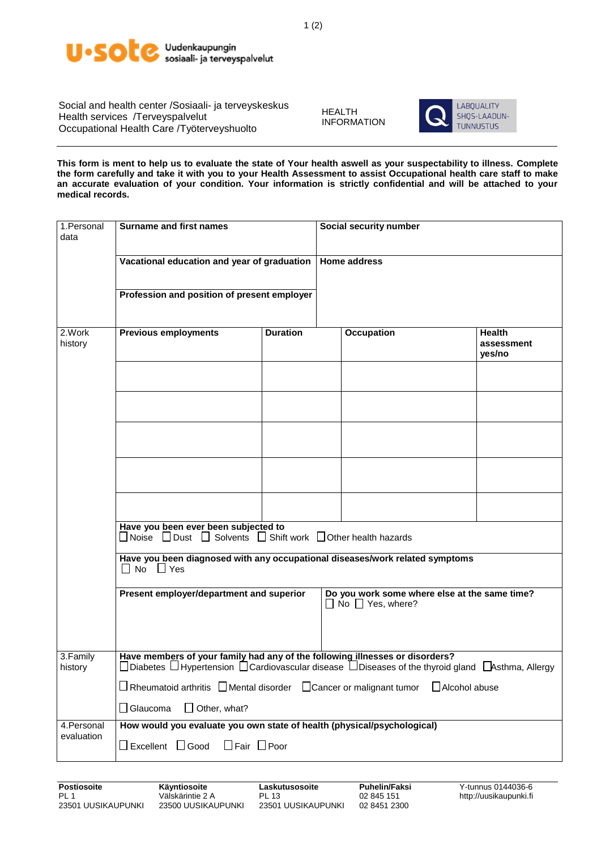

Social and health center /Sosiaali- ja terveyskeskus Health services /Terveyspalvelut Occupational Health Care /Työterveyshuolto

HEALTH INFORMATION



**This form is ment to help us to evaluate the state of Your health aswell as your suspectability to illness. Complete the form carefully and take it with you to your Health Assessment to assist Occupational health care staff to make an accurate evaluation of your condition. Your information is strictly confidential and will be attached to your medical records.**

| 1.Personal<br>data        | <b>Surname and first names</b>                                                                                                                                                                 |                 | Social security number |                   |                                       |  |  |
|---------------------------|------------------------------------------------------------------------------------------------------------------------------------------------------------------------------------------------|-----------------|------------------------|-------------------|---------------------------------------|--|--|
|                           | Vacational education and year of graduation                                                                                                                                                    |                 | <b>Home address</b>    |                   |                                       |  |  |
|                           | Profession and position of present employer                                                                                                                                                    |                 |                        |                   |                                       |  |  |
| 2.Work<br>history         | <b>Previous employments</b>                                                                                                                                                                    | <b>Duration</b> |                        | <b>Occupation</b> | <b>Health</b><br>assessment<br>yes/no |  |  |
|                           |                                                                                                                                                                                                |                 |                        |                   |                                       |  |  |
|                           |                                                                                                                                                                                                |                 |                        |                   |                                       |  |  |
|                           |                                                                                                                                                                                                |                 |                        |                   |                                       |  |  |
|                           |                                                                                                                                                                                                |                 |                        |                   |                                       |  |  |
|                           |                                                                                                                                                                                                |                 |                        |                   |                                       |  |  |
|                           | Have you been ever been subjected to<br>□ Noise □ Dust □ Solvents □ Shift work □ Other health hazards                                                                                          |                 |                        |                   |                                       |  |  |
|                           | Have you been diagnosed with any occupational diseases/work related symptoms<br>$\Box$ No $\Box$ Yes                                                                                           |                 |                        |                   |                                       |  |  |
|                           | Present employer/department and superior<br>Do you work some where else at the same time?<br>$\Box$ No $\Box$ Yes, where?                                                                      |                 |                        |                   |                                       |  |  |
| 3.Family<br>history       | Have members of your family had any of the following illnesses or disorders?<br>$□$ Diabetes $□$ Hypertension $□$ Cardiovascular disease $□$ Diseases of the thyroid gland $□$ Asthma, Allergy |                 |                        |                   |                                       |  |  |
|                           | $\Box$ Rheumatoid arthritis $\Box$ Mental disorder $\Box$ Cancer or malignant tumor<br>$\Box$ Alcohol abuse                                                                                    |                 |                        |                   |                                       |  |  |
|                           | $\Box$ Other, what?<br>$\Box$ Glaucoma                                                                                                                                                         |                 |                        |                   |                                       |  |  |
| 4. Personal<br>evaluation | How would you evaluate you own state of health (physical/psychological)<br>$\Box$ Excellent $\Box$ Good<br>$\Box$ Fair $\Box$ Poor                                                             |                 |                        |                   |                                       |  |  |
|                           |                                                                                                                                                                                                |                 |                        |                   |                                       |  |  |